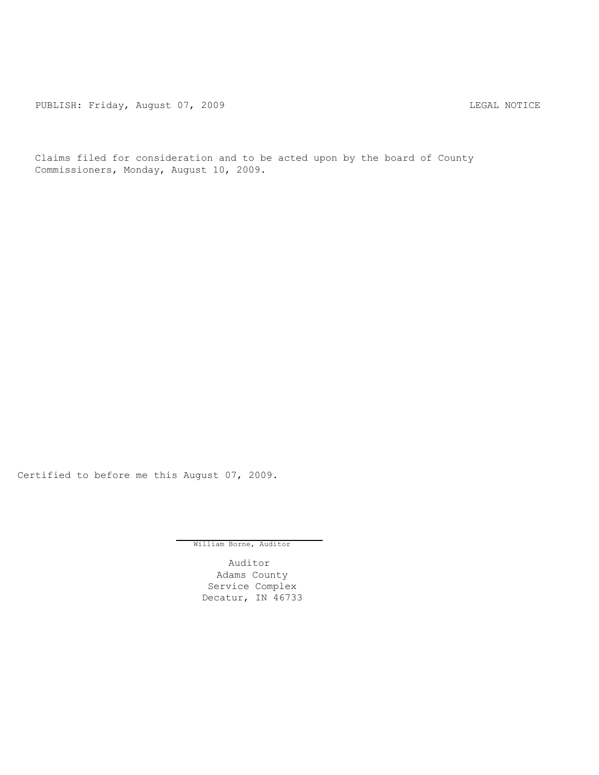PUBLISH: Friday, August 07, 2009 CHA CHANGE CONTROLLY AND THE LEGAL NOTICE

Claims filed for consideration and to be acted upon by the board of County Commissioners, Monday, August 10, 2009.

Certified to before me this August 07, 2009.

William Borne, Auditor

Auditor Adams County Service Complex Decatur, IN 46733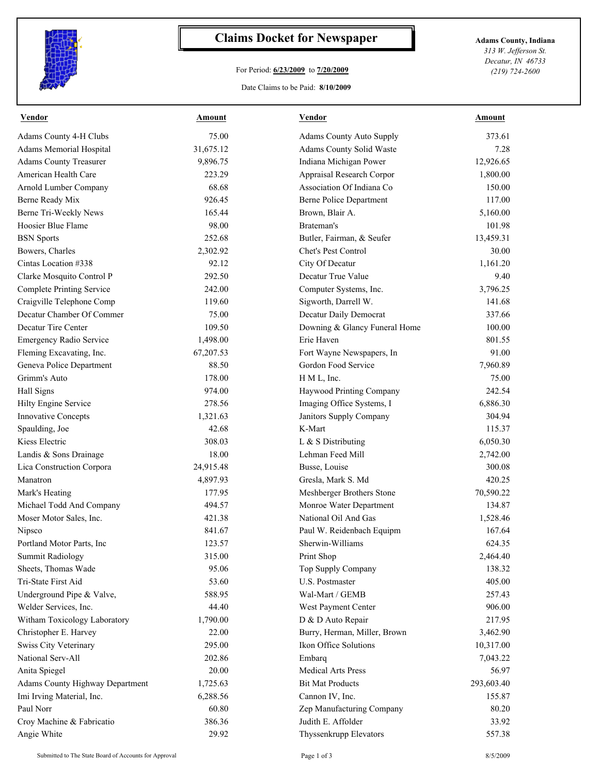

## **Claims Docket for Newspaper Adams County, Indiana**

## For Period: **6/23/2009** to **7/20/2009**

*313 W. Jefferson St. Decatur, IN 46733 (219) 724-2600*

## Date Claims to be Paid: **8/10/2009**

| <b>Vendor</b>                    | Amount    | <b>Vendor</b>                   | Amount     |
|----------------------------------|-----------|---------------------------------|------------|
| Adams County 4-H Clubs           | 75.00     | <b>Adams County Auto Supply</b> | 373.61     |
| Adams Memorial Hospital          | 31,675.12 | Adams County Solid Waste        | 7.28       |
| Adams County Treasurer           | 9,896.75  | Indiana Michigan Power          | 12,926.65  |
| American Health Care             | 223.29    | Appraisal Research Corpor       | 1,800.00   |
| Arnold Lumber Company            | 68.68     | Association Of Indiana Co       | 150.00     |
| Berne Ready Mix                  | 926.45    | Berne Police Department         | 117.00     |
| Berne Tri-Weekly News            | 165.44    | Brown, Blair A.                 | 5,160.00   |
| Hoosier Blue Flame               | 98.00     | Brateman's                      | 101.98     |
| <b>BSN</b> Sports                | 252.68    | Butler, Fairman, & Seufer       | 13,459.31  |
| Bowers, Charles                  | 2,302.92  | Chet's Pest Control             | 30.00      |
| Cintas Location #338             | 92.12     | City Of Decatur                 | 1,161.20   |
| Clarke Mosquito Control P        | 292.50    | Decatur True Value              | 9.40       |
| <b>Complete Printing Service</b> | 242.00    | Computer Systems, Inc.          | 3,796.25   |
| Craigville Telephone Comp        | 119.60    | Sigworth, Darrell W.            | 141.68     |
| Decatur Chamber Of Commer        | 75.00     | Decatur Daily Democrat          | 337.66     |
| Decatur Tire Center              | 109.50    | Downing & Glancy Funeral Home   | 100.00     |
| Emergency Radio Service          | 1,498.00  | Erie Haven                      | 801.55     |
| Fleming Excavating, Inc.         | 67,207.53 | Fort Wayne Newspapers, In       | 91.00      |
| Geneva Police Department         | 88.50     | Gordon Food Service             | 7,960.89   |
| Grimm's Auto                     | 178.00    | H M L, Inc.                     | 75.00      |
| Hall Signs                       | 974.00    | Haywood Printing Company        | 242.54     |
| Hilty Engine Service             | 278.56    | Imaging Office Systems, I       | 6,886.30   |
| <b>Innovative Concepts</b>       | 1,321.63  | Janitors Supply Company         | 304.94     |
| Spaulding, Joe                   | 42.68     | K-Mart                          | 115.37     |
| Kiess Electric                   | 308.03    | L & S Distributing              | 6,050.30   |
| Landis & Sons Drainage           | 18.00     | Lehman Feed Mill                | 2,742.00   |
| Lica Construction Corpora        | 24,915.48 | Busse, Louise                   | 300.08     |
| Manatron                         | 4,897.93  | Gresla, Mark S. Md              | 420.25     |
| Mark's Heating                   | 177.95    | Meshberger Brothers Stone       | 70,590.22  |
| Michael Todd And Company         | 494.57    | Monroe Water Department         | 134.87     |
| Moser Motor Sales, Inc.          | 421.38    | National Oil And Gas            | 1,528.46   |
| Nipsco                           | 841.67    | Paul W. Reidenbach Equipm       | 167.64     |
| Portland Motor Parts. Inc.       | 123.57    | Sherwin-Williams                | 624.35     |
| <b>Summit Radiology</b>          | 315.00    | Print Shop                      | 2,464.40   |
| Sheets, Thomas Wade              | 95.06     | Top Supply Company              | 138.32     |
| Tri-State First Aid              | 53.60     | U.S. Postmaster                 | 405.00     |
| Underground Pipe & Valve,        | 588.95    | Wal-Mart / GEMB                 | 257.43     |
| Welder Services, Inc.            | 44.40     | West Payment Center             | 906.00     |
| Witham Toxicology Laboratory     | 1,790.00  | D & D Auto Repair               | 217.95     |
| Christopher E. Harvey            | 22.00     | Burry, Herman, Miller, Brown    | 3,462.90   |
| Swiss City Veterinary            | 295.00    | Ikon Office Solutions           | 10,317.00  |
| National Serv-All                | 202.86    | Embarq                          | 7,043.22   |
| Anita Spiegel                    | 20.00     | <b>Medical Arts Press</b>       | 56.97      |
| Adams County Highway Department  | 1,725.63  | <b>Bit Mat Products</b>         | 293,603.40 |
| Imi Irving Material, Inc.        | 6,288.56  | Cannon IV, Inc.                 | 155.87     |
| Paul Norr                        | 60.80     | Zep Manufacturing Company       | 80.20      |
| Croy Machine & Fabricatio        | 386.36    | Judith E. Affolder              | 33.92      |
| Angie White                      | 29.92     | Thyssenkrupp Elevators          | 557.38     |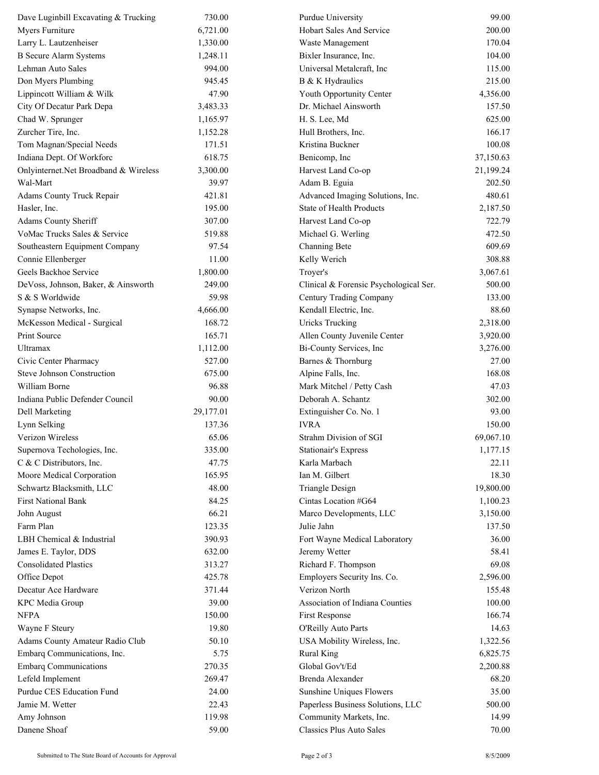| Dave Luginbill Excavating & Trucking                    | 730.00          | Purdue University                      | 99.00                 |
|---------------------------------------------------------|-----------------|----------------------------------------|-----------------------|
| Myers Furniture                                         | 6,721.00        | Hobart Sales And Service               | 200.00                |
| Larry L. Lautzenheiser                                  | 1,330.00        | Waste Management                       | 170.04                |
| <b>B</b> Secure Alarm Systems                           | 1,248.11        | Bixler Insurance, Inc.                 | 104.00                |
| Lehman Auto Sales                                       | 994.00          | Universal Metalcraft, Inc.             | 115.00                |
| Don Myers Plumbing                                      | 945.45          | B & K Hydraulics                       | 215.00                |
| Lippincott William & Wilk                               | 47.90           | Youth Opportunity Center               | 4,356.00              |
| City Of Decatur Park Depa                               | 3,483.33        | Dr. Michael Ainsworth                  | 157.50                |
| Chad W. Sprunger                                        | 1,165.97        | H. S. Lee, Md                          | 625.00                |
| Zurcher Tire, Inc.                                      | 1,152.28        | Hull Brothers, Inc.                    | 166.17                |
| Tom Magnan/Special Needs                                | 171.51          | Kristina Buckner                       | 100.08                |
| Indiana Dept. Of Workforc                               | 618.75          | Benicomp, Inc                          | 37,150.63             |
| Onlyinternet.Net Broadband & Wireless                   | 3,300.00        | Harvest Land Co-op                     | 21,199.24             |
| Wal-Mart                                                | 39.97           | Adam B. Eguia                          | 202.50                |
| Adams County Truck Repair                               | 421.81          | Advanced Imaging Solutions, Inc.       | 480.61                |
| Hasler, Inc.                                            | 195.00          | State of Health Products               | 2,187.50              |
| Adams County Sheriff                                    | 307.00          | Harvest Land Co-op                     | 722.79                |
| VoMac Trucks Sales & Service                            | 519.88          | Michael G. Werling                     | 472.50                |
| Southeastern Equipment Company                          | 97.54           | Channing Bete                          | 609.69                |
| Connie Ellenberger                                      | 11.00           | Kelly Werich                           | 308.88                |
| Geels Backhoe Service                                   | 1,800.00        | Troyer's                               | 3,067.61              |
| DeVoss, Johnson, Baker, & Ainsworth                     | 249.00          | Clinical & Forensic Psychological Ser. | 500.00                |
| S & S Worldwide                                         | 59.98           | Century Trading Company                | 133.00                |
| Synapse Networks, Inc.                                  | 4,666.00        | Kendall Electric, Inc.                 | 88.60                 |
| McKesson Medical - Surgical                             | 168.72          | <b>Uricks Trucking</b>                 | 2,318.00              |
| Print Source                                            | 165.71          | Allen County Juvenile Center           | 3,920.00              |
| Ultramax                                                | 1,112.00        | Bi-County Services, Inc                | 3,276.00              |
| Civic Center Pharmacy                                   | 527.00          | Barnes & Thornburg                     | 27.00                 |
| <b>Steve Johnson Construction</b>                       | 675.00          | Alpine Falls, Inc.                     | 168.08                |
| William Borne                                           | 96.88           | Mark Mitchel / Petty Cash              | 47.03                 |
| Indiana Public Defender Council                         | 90.00           | Deborah A. Schantz                     | 302.00                |
| <b>Dell Marketing</b>                                   | 29,177.01       | Extinguisher Co. No. 1                 | 93.00                 |
| Lynn Selking                                            | 137.36          | <b>IVRA</b>                            | 150.00                |
| Verizon Wireless                                        | 65.06           | Strahm Division of SGI                 |                       |
|                                                         | 335.00          |                                        | 69,067.10<br>1,177.15 |
| Supernova Techologies, Inc.<br>C & C Distributors, Inc. | 47.75           | Stationair's Express<br>Karla Marbach  | 22.11                 |
| Moore Medical Corporation                               | 165.95          | Ian M. Gilbert                         | 18.30                 |
| Schwartz Blacksmith, LLC                                | 48.00           | Triangle Design                        | 19,800.00             |
| <b>First National Bank</b>                              | 84.25           | Cintas Location #G64                   |                       |
|                                                         |                 |                                        | 1,100.23              |
| John August<br>Farm Plan                                | 66.21<br>123.35 | Marco Developments, LLC<br>Julie Jahn  | 3,150.00<br>137.50    |
|                                                         |                 |                                        |                       |
| LBH Chemical & Industrial                               | 390.93          | Fort Wayne Medical Laboratory          | 36.00                 |
| James E. Taylor, DDS                                    | 632.00          | Jeremy Wetter                          | 58.41                 |
| <b>Consolidated Plastics</b>                            | 313.27          | Richard F. Thompson                    | 69.08                 |
| Office Depot                                            | 425.78          | Employers Security Ins. Co.            | 2,596.00              |
| Decatur Ace Hardware                                    | 371.44          | Verizon North                          | 155.48                |
| <b>KPC</b> Media Group                                  | 39.00           | Association of Indiana Counties        | 100.00                |
| <b>NFPA</b>                                             | 150.00          | First Response                         | 166.74                |
| Wayne F Steury                                          | 19.80           | O'Reilly Auto Parts                    | 14.63                 |
| Adams County Amateur Radio Club                         | 50.10           | USA Mobility Wireless, Inc.            | 1,322.56              |
| Embarq Communications, Inc.                             | 5.75            | <b>Rural King</b>                      | 6,825.75              |
| <b>Embarq Communications</b>                            | 270.35          | Global Gov't/Ed                        | 2,200.88              |
| Lefeld Implement                                        | 269.47          | Brenda Alexander                       | 68.20                 |
| Purdue CES Education Fund                               | 24.00           | Sunshine Uniques Flowers               | 35.00                 |
| Jamie M. Wetter                                         | 22.43           | Paperless Business Solutions, LLC      | 500.00                |
| Amy Johnson                                             | 119.98          | Community Markets, Inc.                | 14.99                 |
| Danene Shoaf                                            | 59.00           | <b>Classics Plus Auto Sales</b>        | 70.00                 |